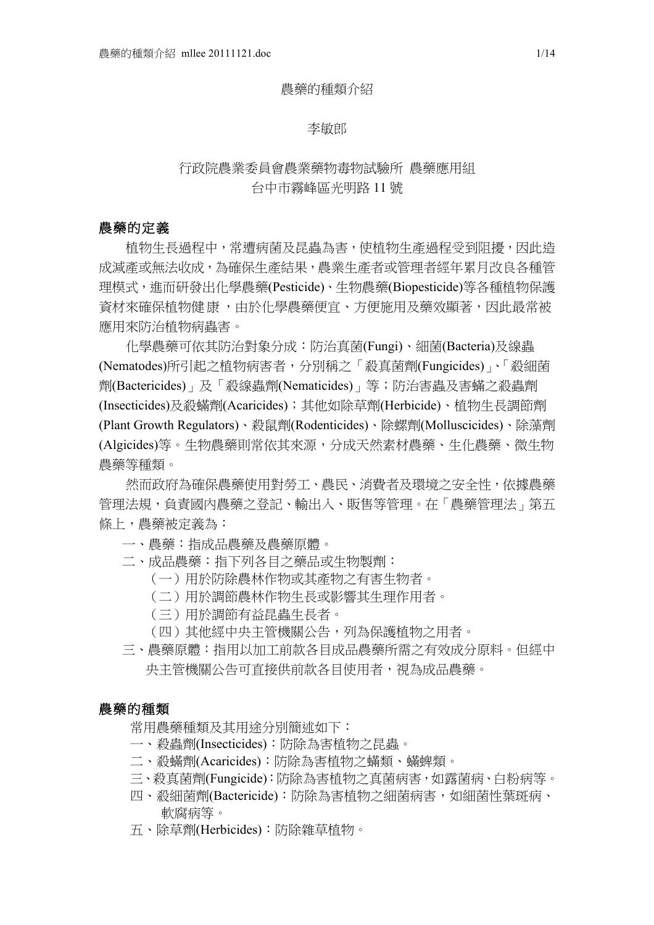#### 農藥的種類介紹

#### 李敏郎

# 行政院農業委員會農業藥物毒物試驗所 農藥應用組 台中市霧峰區光明路 11 號

#### 農藥的定義

植物生長過程中,常遭病菌及昆蟲為害,使植物生產過程受到阻擾,因此造 成減產或無法收成,為確保生產結果,農業生產者或管理者經年累月改良各種管 理模式,進而研發出化學農藥(Pesticide)、生物農藥(Biopesticide)等各種植物保護 資材來確保植物健康,由於化學農藥便宜、方便施用及藥效顯著,因此最常被 應用來防治植物病蟲害。

化學農藥可依其防治對象分成:防治真菌(Fungi)、細菌(Bacteria)及線蟲 (Nematodes)所引起之植物病害者,分別稱之「殺真菌劑(Fungicides)」、「殺細菌 劑(Bactericides)」及「殺線蟲劑(Nematicides)」等;防治害蟲及害蟎之殺蟲劑 (Insecticides)及殺蟎劑(Acaricides);其他如除草劑(Herbicide)、植物生長調節劑 (Plant Growth Regulators)、殺鼠劑(Rodenticides)、除螺劑(Molluscicides)、除藻劑 (Algicides)等。生物農藥則常依其來源,分成天然素材農藥、生化農藥、微生物 農藥等種類。

然而政府為確保農藥使用對勞工、農民、消費者及環境之安全性,依據農藥 管理法規,負責國內農藥之登記、輸出入、販售等管理。在「農藥管理法」第五 條上,農藥被定義為:

- 一、農藥:指成品農藥及農藥原體。
- 二、成品農藥:指下列各目之藥品或生物製劑:
	- (一)用於防除農林作物或其產物之有害生物者。
	- (二)用於調節農林作物生長或影響其生理作用者。
	- (三)用於調節有益昆蟲生長者。
	- (四)其他經中央主管機關公告,列為保護植物之用者。
- 三、農藥原體:指用以加工前款各目成品農藥所需之有效成分原料。但經中 央主管機關公告可直接供前款各目使用者,視為成品農藥。

#### 農藥的種類

- 常用農藥種類及其用途分別簡述如下:
- 一、殺蟲劑(Insecticides):防除為害植物之昆蟲。
- 二、殺蟎劑(Acaricides):防除為害植物之蟎類、蟎蜱類。
- 三、殺真菌劑(Fungicide):防除為害植物之真菌病害,如露菌病、白粉病等。
- 四、殺細菌劑(Bactericide):防除為害植物之細菌病害,如細菌性葉斑病、 軟腐病等。
- 五、除草劑(Herbicides):防除雜草植物。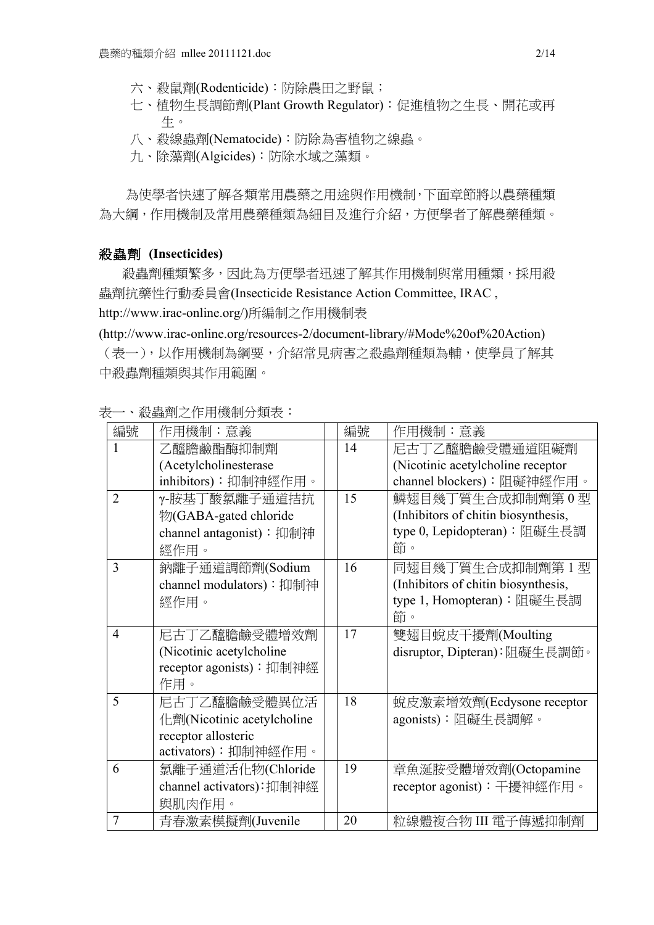- 六、殺鼠劑(Rodenticide):防除農田之野鼠;
- 七、植物生長調節劑(Plant Growth Regulator):促進植物之生長、開花或再 生。
- 八、殺線蟲劑(Nematocide):防除為害植物之線蟲。
- 九、除藻劑(Algicides):防除水域之藻類。

為使學者快速了解各類常用農藥之用途與作用機制,下面章節將以農藥種類 為大綱,作用機制及常用農藥種類為細目及進行介紹,方便學者了解農藥種類。

#### 殺蟲劑 **(Insecticides)**

殺蟲劑種類繁多,因此為方便學者迅速了解其作用機制與常用種類,採用殺 蟲劑抗藥性行動委員會(Insecticide Resistance Action Committee, IRAC , http://www.irac-online.org/)所編制之作用機制表

(http://www.irac-online.org/resources-2/document-library/#Mode%20of%20Action) (表一),以作用機制為綱要,介紹常見病害之殺蟲劑種類為輔,使學員了解其 中殺蟲劑種類與其作用範圍。

| 編號             | 作用機制:意義                    | 編號 | 作用機制:意義                             |
|----------------|----------------------------|----|-------------------------------------|
| 1              | 乙醯膽鹼酯酶抑制劑                  | 14 | 尼古丁乙醯膽鹼受體通道阻礙劑                      |
|                | (Acetylcholinesterase      |    | (Nicotinic acetylcholine receptor)  |
|                | inhibitors): 抑制神經作用。       |    | channel blockers):阻礙神經作用。           |
| $\overline{2}$ | γ-胺基丁酸氯離子通道拮抗              | 15 | 鱗翅目幾丁質生合成抑制劑第0型                     |
|                | 物(GABA-gated chloride      |    | (Inhibitors of chitin biosynthesis, |
|                | channel antagonist): 抑制神   |    | type 0, Lepidopteran): 阻礙生長調        |
|                | 經作用。                       |    | 節。                                  |
| 3              | 鈉離子通道調節劑(Sodium            | 16 | 同翅目幾丁質生合成抑制劑第1型                     |
|                | channel modulators): 抑制神   |    | (Inhibitors of chitin biosynthesis, |
|                | 經作用。                       |    | type 1, Homopteran): 阻礙生長調          |
|                |                            |    | 節。                                  |
| $\overline{4}$ | 尼古丁乙醯膽鹼受體增效劑               | 17 | 雙翅目蛻皮干擾劑(Moulting                   |
|                | (Nicotinic acetylcholine)  |    | disruptor, Dipteran):阻礙生長調節。        |
|                | receptor agonists): 抑制神經   |    |                                     |
|                | 作用。                        |    |                                     |
| 5              | 尼古丁乙醯膽鹼受體異位活               | 18 | 蜕皮激素增效劑(Ecdysone receptor           |
|                | 化劑(Nicotinic acetylcholine |    | agonists):阻礙生長調解。                   |
|                | receptor allosteric        |    |                                     |
|                | activators):抑制神經作用。        |    |                                     |
| 6              | 氯離子通道活化物(Chloride          | 19 | 章魚涎胺受體增效劑(Octopamine                |
|                | channel activators): 抑制神經  |    | receptor agonist): 干擾神經作用。          |
|                | 與肌肉作用。                     |    |                                     |
| $\overline{7}$ | 青春激素模擬劑(Juvenile           | 20 | 粒線體複合物 III 電子傳遞抑制劑                  |

表一、殺蟲劑之作用機制分類表: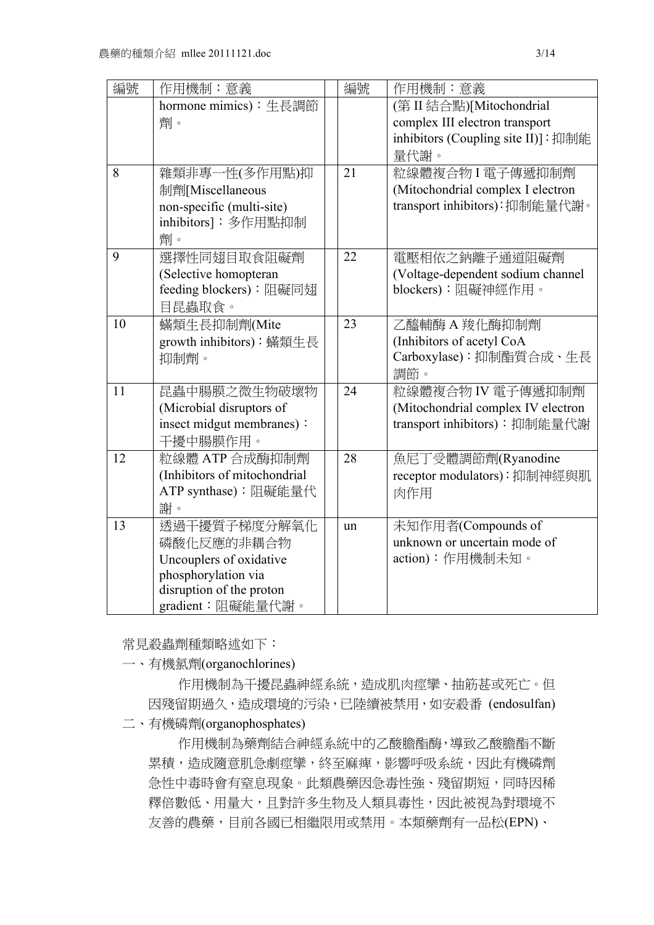| 編號 | 作用機制:意義                      | 編號 | 作用機制:意義                             |
|----|------------------------------|----|-------------------------------------|
|    | hormone mimics): 生長調節        |    | (第 II 結合點)[Mitochondrial            |
|    | 劑。                           |    | complex III electron transport      |
|    |                              |    | inhibitors (Coupling site II)]: 抑制能 |
|    |                              |    | 量代謝。                                |
| 8  | 雜類非專一性(多作用點)抑                | 21 | 粒線體複合物I電子傳遞抑制劑                      |
|    | 制劑[Miscellaneous             |    | (Mitochondrial complex I electron   |
|    | non-specific (multi-site)    |    | transport inhibitors): 抑制能量代謝。      |
|    | inhibitors]: 多作用點抑制          |    |                                     |
|    | 劑。                           |    |                                     |
| 9  | 選擇性同翅目取食阻礙劑                  | 22 | 電壓相依之鈉離子通道阻礙劑                       |
|    | (Selective homopteran        |    | (Voltage-dependent sodium channel   |
|    | feeding blockers):阻礙同翅       |    | blockers):阻礙神經作用。                   |
|    | 目昆蟲取食。                       |    |                                     |
| 10 | 蟎類生長抑制劑(Mite                 | 23 | 乙醯輔酶 A 羧化酶抑制劑                       |
|    | growth inhibitors): 蟎類生長     |    | (Inhibitors of acetyl CoA           |
|    | 抑制劑。                         |    | Carboxylase): 抑制酯質合成、生長             |
|    |                              |    | 調節。                                 |
| 11 | 昆蟲中腸膜之微生物破壞物                 | 24 | 粒線體複合物 IV 電子傳遞抑制劑                   |
|    | (Microbial disruptors of     |    | (Mitochondrial complex IV electron  |
|    | insect midgut membranes):    |    | transport inhibitors): 抑制能量代謝       |
|    | 干擾中腸膜作用。                     |    |                                     |
| 12 | 粒線體 ATP 合成酶抑制劑               | 28 | 魚尼丁受體調節劑(Ryanodine                  |
|    | (Inhibitors of mitochondrial |    | receptor modulators): 抑制神經與肌        |
|    | ATP synthase):阻礙能量代          |    | 肉作用                                 |
|    | 謝。                           |    |                                     |
| 13 | 透過干擾質子梯度分解氧化                 | un | 未知作用者(Compounds of                  |
|    | 磷酸化反應的非耦合物                   |    | unknown or uncertain mode of        |
|    | Uncouplers of oxidative      |    | action):作用機制未知。                     |
|    | phosphorylation via          |    |                                     |
|    | disruption of the proton     |    |                                     |
|    | gradient:阻礙能量代謝。             |    |                                     |

常見殺蟲劑種類略述如下:

一、有機氯劑(organochlorines)

作用機制為干擾昆蟲神經系統,造成肌肉痙攣、抽筋甚或死亡。但 因殘留期過久,造成環境的污染,已陸續被禁用,如安殺番 (endosulfan) 二、有機磷劑(organophosphates)

作用機制為藥劑結合神經系統中的乙酸膽酯酶,導致乙酸膽酯不斷 累積,造成隨意肌急劇痙攣,終至麻痺,影響呼吸系統,因此有機磷劑 急性中毒時會有窒息現象。此類農藥因急毒性強、殘留期短,同時因稀 釋倍數低、用量大,且對許多生物及人類具毒性,因此被視為對環境不 友善的農藥,目前各國已相繼限用或禁用。本類藥劑有一品松(EPN)、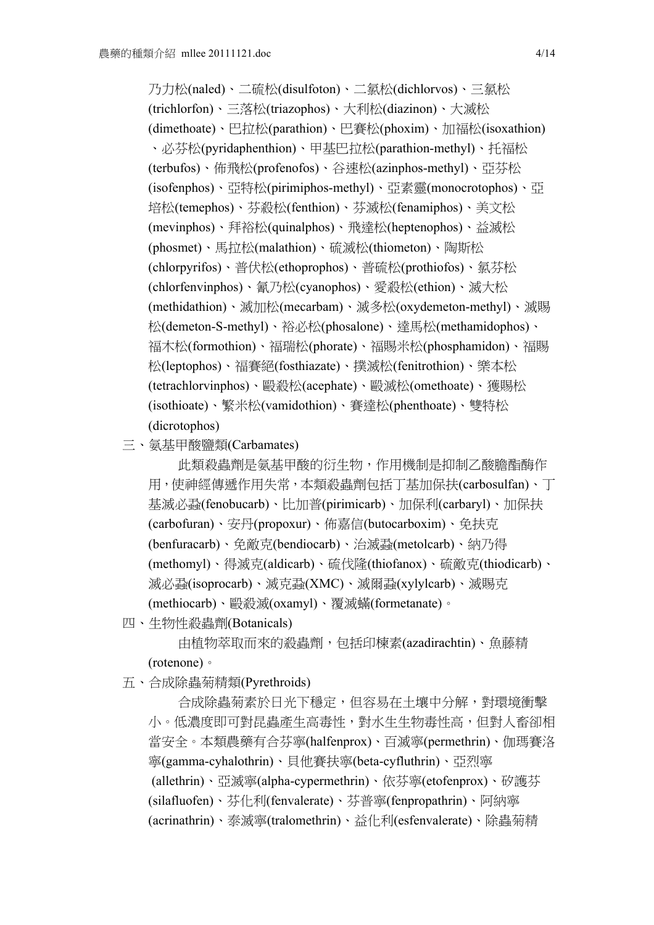乃力松(naled)、二硫松(disulfoton)、二氯松(dichlorvos)、三氯松 (trichlorfon)、三落松(triazophos)、大利松(diazinon)、大滅松 (dimethoate)、巴拉松(parathion)、巴賽松(phoxim)、加福松(isoxathion) 、必芬松(pyridaphenthion)、甲基巴拉松(parathion-methyl)、托福松 (terbufos)、佈飛松(profenofos)、谷速松(azinphos-methyl)、亞芬松 (isofenphos)、亞特松(pirimiphos-methyl)、亞素靈(monocrotophos)、亞 培松(temephos)、芬殺松(fenthion)、芬滅松(fenamiphos)、美文松 (mevinphos)、拜裕松(quinalphos)、飛達松(heptenophos)、益滅松 (phosmet)、馬拉松(malathion)、硫滅松(thiometon)、陶斯松 (chlorpyrifos)、普伏松(ethoprophos)、普硫松(prothiofos)、氯芬松 (chlorfenvinphos)、氰乃松(cyanophos)、愛殺松(ethion)、滅大松 (methidathion)、滅加松(mecarbam)、滅多松(oxydemeton-methyl)、滅賜 松(demeton-S-methyl)、裕必松(phosalone)、達馬松(methamidophos)、 福木松(formothion)、福瑞松(phorate)、福賜米松(phosphamidon)、福賜 松(leptophos)、福賽絕(fosthiazate)、撲滅松(fenitrothion)、樂本松 (tetrachlorvinphos)、毆殺松(acephate)、毆滅松(omethoate)、獲賜松 (isothioate)、繁米松(vamidothion)、賽達松(phenthoate)、雙特松 (dicrotophos)

三、氨基甲酸鹽類(Carbamates)

此類殺蟲劑是氨基甲酸的衍生物,作用機制是抑制乙酸膽酯酶作 用,使神經傳遞作用失常,本類殺蟲劑包括丁基加保扶(carbosulfan)、丁 基滅必蝨(fenobucarb)、比加普(pirimicarb)、加保利(carbaryl)、加保扶 (carbofuran)、安丹(propoxur)、佈嘉信(butocarboxim)、免扶克 (benfuracarb)、免敵克(bendiocarb)、治滅蝨(metolcarb)、納乃得 (methomyl)、得滅克(aldicarb)、硫伐隆(thiofanox)、硫敵克(thiodicarb)、 滅必蝨(isoprocarb)、滅克蝨(XMC)、滅爾蝨(xylylcarb)、滅賜克 (methiocarb)、毆殺滅(oxamyl)、覆滅蟎(formetanate)。

四、生物性殺蟲劑(Botanicals)

由植物萃取而來的殺蟲劑,包括印楝素(azadirachtin)、魚藤精 (rotenone)。

五、合成除蟲菊精類(Pyrethroids)

合成除蟲菊素於日光下穩定,但容易在土壤中分解,對環境衝擊 小。低濃度即可對昆蟲產生高毒性,對水生生物毒性高,但對人畜卻相 當安全。本類農藥有合芬寧(halfenprox)、百滅寧(permethrin)、伽瑪賽洛 寧(gamma-cyhalothrin)、貝他賽扶寧(beta-cyfluthrin)、亞烈寧 (allethrin)、亞滅寧(alpha-cypermethrin)、依芬寧(etofenprox)、矽護芬 (silafluofen)、芬化利(fenvalerate)、芬普寧(fenpropathrin)、阿納寧 (acrinathrin)、泰滅寧(tralomethrin)、益化利(esfenvalerate)、除蟲菊精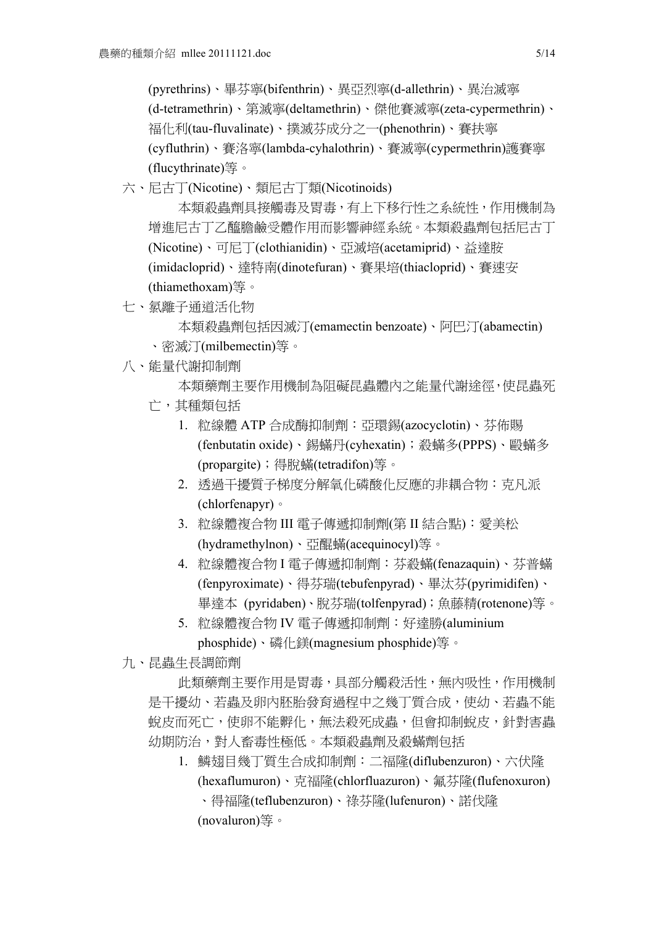(pyrethrins)、畢芬寧(bifenthrin)、異亞烈寧(d-allethrin)、異治滅寧 (d-tetramethrin)、第滅寧(deltamethrin)、傑他賽滅寧(zeta-cypermethrin)、 福化利(tau-fluvalinate)、撲滅芬成分之一(phenothrin)、賽扶寧 (cyfluthrin)、賽洛寧(lambda-cyhalothrin)、賽滅寧(cypermethrin)護賽寧 (flucythrinate)等。

六、尼古丁(Nicotine)、類尼古丁類(Nicotinoids)

本類殺蟲劑具接觸毒及胃毒,有上下移行性之系統性,作用機制為 增進尼古丁乙醯膽鹼受體作用而影響神經系統。本類殺蟲劑包括尼古丁 (Nicotine)、可尼丁(clothianidin)、亞滅培(acetamiprid)、益達胺 (imidacloprid)、達特南(dinotefuran)、賽果培(thiacloprid)、賽速安 (thiamethoxam)等。

七、氯離子通道活化物

本類殺蟲劑包括因滅汀(emamectin benzoate)、阿巴汀(abamectin) 、密滅汀(milbemectin)等。

八、能量代謝抑制劑

本類藥劑主要作用機制為阻礙昆蟲體內之能量代謝途徑,使昆蟲死

- 亡,其種類包括
	- 1. 粒線體 ATP 合成酶抑制劑:亞環錫(azocyclotin)、芬佈賜 (fenbutatin oxide)、錫蟎丹(cyhexatin);殺蟎多(PPPS)、毆蟎多 (propargite);得脫蟎(tetradifon)等。
	- 2. 透過干擾質子梯度分解氧化磷酸化反應的非耦合物: 克凡派 (chlorfenapyr)。
	- 3. 粒線體複合物 III 電子傳遞抑制劑(第 II 結合點):愛美松 (hydramethylnon)、亞醌蟎(acequinocyl)等。
	- 4. 粒線體複合物 I 電子傳遞抑制劑:芬殺蟎(fenazaquin)、芬普蟎 (fenpyroximate)、得芬瑞(tebufenpyrad)、畢汰芬(pyrimidifen)、 畢達本 (pyridaben)、脫芬瑞(tolfenpyrad);魚藤精(rotenone)等。
	- 5. 粒線體複合物 IV 電子傳遞抑制劑:好達勝(aluminium phosphide)、磷化鎂(magnesium phosphide)等。

九、昆蟲生長調節劑

此類藥劑主要作用是胃毒,具部分觸殺活性,無內吸性,作用機制 是干擾幼、若蟲及卵内胚胎發育過程中之幾丁質合成,使幼、若蟲不能 蛻皮而死亡,使卵不能孵化,無法殺死成蟲,但會抑制蛻皮,針對害蟲 幼期防治,對人畜毒性極低。本類殺蟲劑及殺蟎劑包括

1. 鱗翅目幾丁質生合成抑制劑:二福隆(diflubenzuron)、六伏隆 (hexaflumuron)、克福隆(chlorfluazuron)、氟芬隆(flufenoxuron) 、得福隆(teflubenzuron)、祿芬隆(lufenuron)、諾伐隆 (novaluron)等。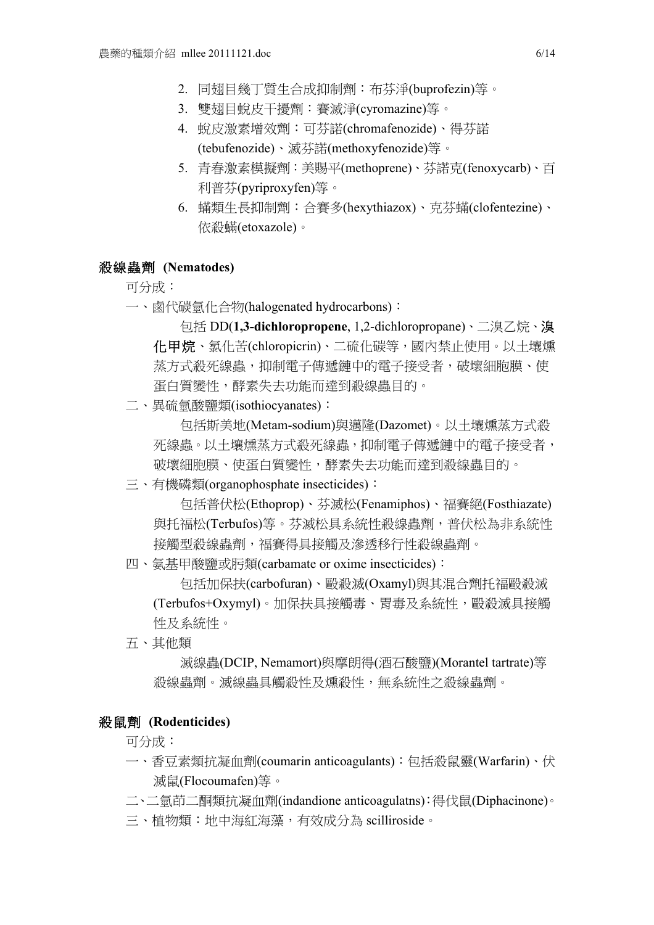- 2. 同翅目幾丁質生合成抑制劑:布芬淨(buprofezin)等。
- 3. 雙翅目蛻皮干擾劑:賽滅淨(cyromazine)等。
- 4. 蛻皮激素增效劑:可芬諾(chromafenozide)、得芬諾 (tebufenozide)、滅芬諾(methoxyfenozide)等。
- 5. 青春激素模擬劑:美賜平(methoprene)、芬諾克(fenoxycarb)、百 利普芬(pyriproxyfen)等。
- 6. 蟎類生長抑制劑:合賽多(hexythiazox)、克芬蟎(clofentezine)、 依殺蟎(etoxazole)。

#### 殺線蟲劑 **(Nematodes)**

### 可分成:

一、鹵代碳氫化合物(halogenated hydrocarbons):

包括 DD(**1,3-dichloropropene**, 1,2-dichloropropane)、二溴乙烷、溴 化甲烷、氯化苦(chloropicrin)、二硫化碳等,國內禁止使用。以土壤燻 蒸方式殺死線蟲,抑制電子傳遞鏈中的電子接受者,破壞細胞膜、使 蛋白質變性,酵素失去功能而達到殺線蟲目的。

二、異硫氫酸鹽類(isothiocyanates):

包括斯美地(Metam-sodium)與邁隆(Dazomet)。以土壤燻蒸方式殺 死線蟲。以土壤燻蒸方式殺死線蟲,抑制電子傳遞鏈中的電子接受者, 破壞細胞膜、使蛋白質變性,酵素失去功能而達到殺線蟲目的。

三、有機磷類(organophosphate insecticides):

包括普伏松(Ethoprop)、芬滅松(Fenamiphos)、福賽絕(Fosthiazate) 與托福松(Terbufos)等。芬滅松具系統性殺線蟲劑,普伏松為非系統性 接觸型殺線蟲劑,福賽得具接觸及滲透移行性殺線蟲劑。

#### 四、氨基甲酸鹽或肟類(carbamate or oxime insecticides):

包括加保扶(carbofuran)、毆殺滅(Oxamyl)與其混合劑托福毆殺滅 (Terbufos+Oxymyl)。加保扶具接觸毒、胃毒及系統性,毆殺滅具接觸 性及系統性。

五、其他類

滅線蟲(DCIP, Nemamort)與摩朗得(酒石酸鹽)(Morantel tartrate)等 殺線蟲劑。滅線蟲具觸殺性及燻殺性,無系統性之殺線蟲劑。

### 殺鼠劑 **(Rodenticides)**

可分成:

- 一、香豆素類抗凝血劑(coumarin anticoagulants):包括殺鼠靈(Warfarin)、伏 滅鼠(Flocoumafen)等。
- 二、二氫茚二酮類抗凝血劑(indandione anticoagulatns):得伐鼠(Diphacinone)。
- 三、植物類:地中海紅海藻,有效成分為 scilliroside。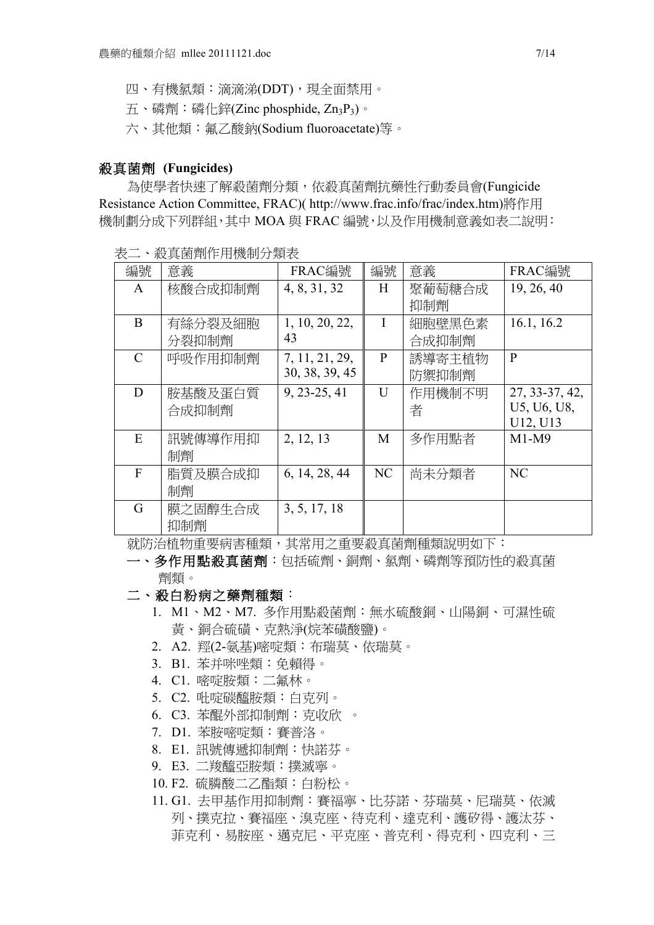- 四、有機氯類:滴滴涕(DDT),現全面禁用。
- 五、磷劑:磷化鋅(Zinc phosphide, Zn3P3)。
- 六、其他類:氟乙酸鈉(Sodium fluoroacetate)等。

#### 殺真菌劑 **(Fungicides)**

為使學者快速了解殺菌劑分類,依殺真菌劑抗藥性行動委員會(Fungicide Resistance Action Committee, FRAC)( http://www.frac.info/frac/index.htm)將作用 機制劃分成下列群組,其中 MOA 與 FRAC 編號,以及作用機制意義如表二說明:

| 編號            | 意義      | FRAC編號         | 編號 | 意義     | FRAC編號         |
|---------------|---------|----------------|----|--------|----------------|
| $\mathsf{A}$  | 核酸合成抑制劑 | 4, 8, 31, 32   | H  | 聚葡萄糖合成 | 19, 26, 40     |
|               |         |                |    | 抑制劑    |                |
| B             | 有絲分裂及細胞 | 1, 10, 20, 22, | I  | 細胞壁黑色素 | 16.1, 16.2     |
|               | 分裂抑制劑   | 43             |    | 合成抑制劑  |                |
| $\mathcal{C}$ | 呼吸作用抑制劑 | 7, 11, 21, 29, | P  | 誘導寄主植物 | $\mathbf{P}$   |
|               |         | 30, 38, 39, 45 |    | 防禦抑制劑  |                |
| D             | 胺基酸及蛋白質 | 9, 23-25, 41   | U  | 作用機制不明 | 27, 33-37, 42, |
|               | 合成抑制劑   |                |    | 者      | U5, U6, U8,    |
|               |         |                |    |        | U12, U13       |
| E             | 訊號傳導作用抑 | 2, 12, 13      | M  | 多作用點者  | $M1-M9$        |
|               | 制劑      |                |    |        |                |
| F             | 脂質及膜合成抑 | 6, 14, 28, 44  | NC | 尚未分類者  | NC             |
|               | 制劑      |                |    |        |                |
| G             | 膜之固醇生合成 | 3, 5, 17, 18   |    |        |                |
|               | 抑制劑     |                |    |        |                |

表二、殺真菌劑作用機制分類表

就防治植物重要病害種類,其常用之重要殺真菌劑種類說明如下:

一、多作用點殺真菌劑:包括硫劑、銅劑、氯劑、磷劑等預防性的殺真菌 劑類。

- 二、殺白粉病之藥劑種類:
	- 1. M1、M2、M7. 多作用點殺菌劑:無水硫酸銅、山陽銅、可濕性硫 黃、銅合硫磺、克熱淨(烷苯磺酸鹽)。
	- 2. A2. 羥(2-氨基)嘧啶類:布瑞莫、依瑞莫。
	- 3. B1. 苯并咪唑類:免賴得。
	- 4. C1. 嘧啶胺類:二氟林。
	- 5. C2. 吡啶碳醯胺類:白克列。
	- 6. C3. 苯醌外部抑制劑:克收欣 。
	- 7. D1. 苯胺嘧啶類:賽普洛。
	- 8. E1. 訊號傳遞抑制劑:快諾芬。
	- 9. E3. 二羧醯亞胺類:撲滅寧。
	- 10. F2. 硫膦酸二乙酯類:白粉松。
	- 11. G1. 去甲基作用抑制劑:賽福寧、比芬諾、芬瑞莫、尼瑞莫、依滅 列、撲克拉、賽福座、溴克座、待克利、達克利、護矽得、護汰芬、 菲克利、易胺座、邁克尼、平克座、普克利、得克利、四克利、三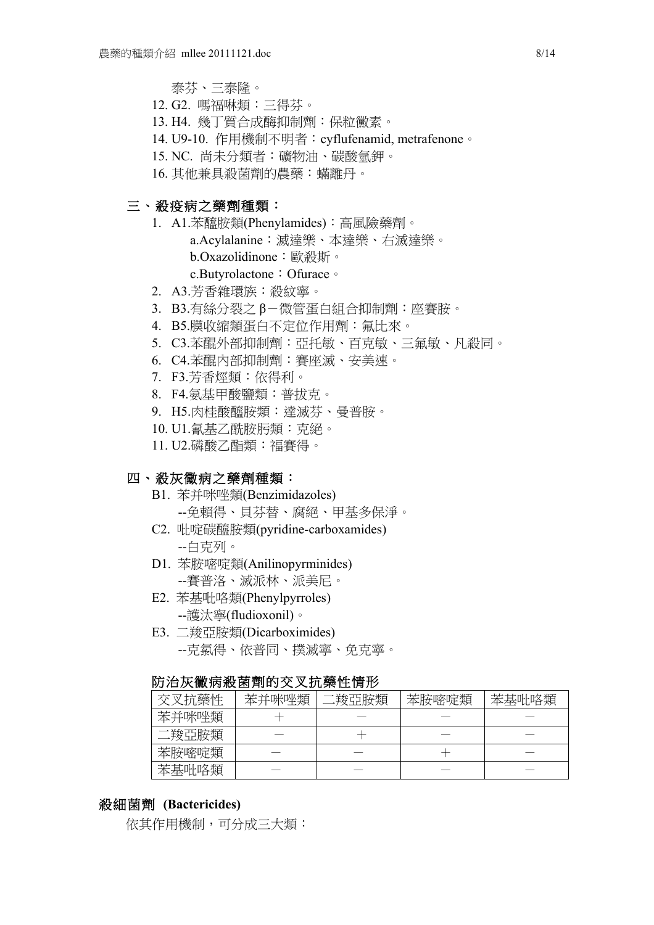泰芬、三泰隆。

- 12. G2. 嗎福啉類:三得芬。
- 13. H4. 幾丁質合成酶抑制劑:保粒黴素。
- 14. U9-10. 作用機制不明者:cyflufenamid, metrafenone。
- 15. NC. 尚未分類者:礦物油、碳酸氫鉀。

16. 其他兼具殺菌劑的農藥:蟎離丹。

# 三、殺疫病之藥劑種類:

- 1. A1.苯醯胺類(Phenylamides):高風險藥劑。 a.Acylalanine:滅達樂、本達樂、右滅達樂。 b.Oxazolidinone:歐殺斯。 c.Butyrolactone:Ofurace。
- 2. A3.芳香雜環族:殺紋寧。
- 3. B3.有絲分裂之 β-微管蛋白組合抑制劑:座賽胺。
- 4. B5.膜收縮類蛋白不定位作用劑:氟比來。
- 5. C3.苯醌外部抑制劑:亞托敏、百克敏、三氟敏、凡殺同。
- 6. C4.苯醌內部抑制劑:賽座滅、安美速。
- 7. F3.芳香烴類:依得利。
- 8. F4.氨基甲酸鹽類:普拔克。
- 9. H5.肉桂酸醯胺類:達滅芬、曼普胺。
- 10. U1.氰基乙酰胺肟類:克絕。
- 11. U2.磷酸乙酯類:福賽得。

### 四、殺灰黴病之藥劑種類:

- B1. 苯并咪唑類(Benzimidazoles) --免賴得、貝芬替、腐絕、甲基多保淨。
- C2. 吡啶碳醯胺類(pyridine-carboxamides) --白克列。
- D1. 苯胺嘧啶類(Anilinopyrminides) --賽普洛、滅派林、派美尼。
- E2. 苯基吡咯類(Phenylpyrroles) --護汰寧(fludioxonil)。
- E3. 二羧亞胺類(Dicarboximides) --克氯得、依普同、撲滅寧、免克寧。

### 防治灰黴病殺菌劑的交叉抗藥性情形

| 交叉抗藥性 | 苯并咪唑類 | .羧亞胺類 | 苯胺嘧啶類 | 苯基吡咯類 |
|-------|-------|-------|-------|-------|
| 苯并咪唑類 |       |       |       |       |
| 二羧亞胺類 |       |       |       |       |
| 苯胺嘧啶類 |       |       |       |       |
| 苯基吡咯類 |       |       |       |       |

### 殺細菌劑 **(Bactericides)**

依其作用機制,可分成三大類: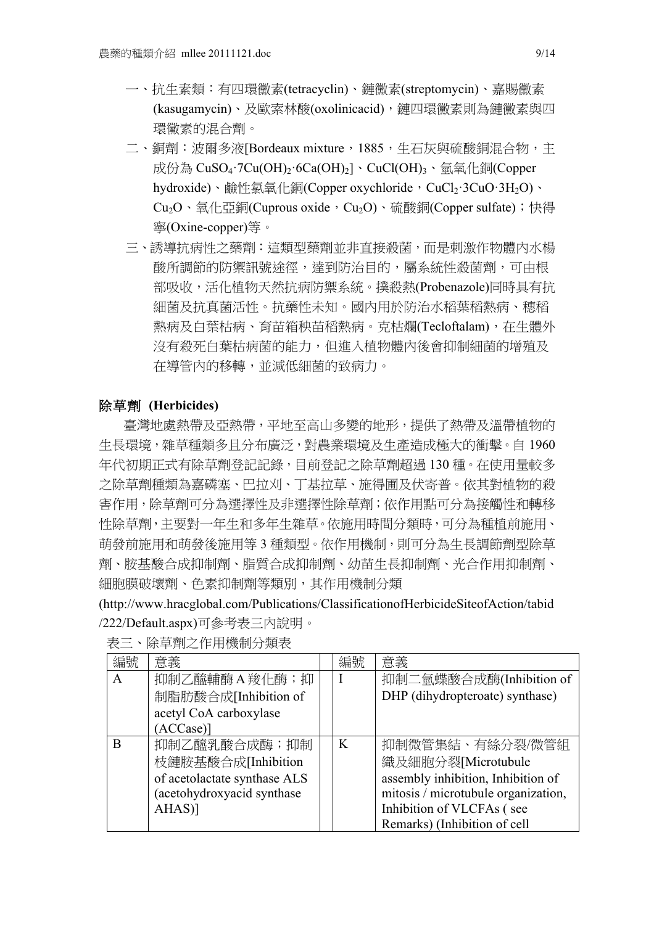- 一、抗生素類:有四環黴素(tetracyclin)、鏈黴素(streptomycin)、嘉賜黴素 (kasugamycin)、及歐索林酸(oxolinicacid),鏈四環黴素則為鏈黴素與四 環黴素的混合劑。
- 二、銅劑:波爾多液[Bordeaux mixture, 1885, 生石灰與硫酸銅混合物, 主 成份為 CuSO<sub>4</sub>·7Cu(OH)<sub>2</sub>·6Ca(OH)<sub>2</sub>]、CuCl(OH)3、氫氧化銅(Copper hydroxide)、鹼性氯氧化銅(Copper oxychloride, CuCl2·3CuO·3H2O)、 Cu<sub>2</sub>O、氧化亞銅(Cuprous oxide, Cu<sub>2</sub>O)、硫酸銅(Copper sulfate);快得 寧(Oxine-copper)等。
- 三、誘導抗病性之藥劑:這類型藥劑並非直接殺菌,而是刺激作物體內水楊 酸所調節的防禦訊號途徑,達到防治目的,屬系統性殺菌劑,可由根 部吸收,活化植物天然抗病防禦系統。撲殺熱(Probenazole)同時具有抗 細菌及抗真菌活性。抗藥性未知。國內用於防治水稻葉稻熱病、穗稻 熱病及白葉枯病、育苗箱秧苗稻熱病。克枯爛(Tecloftalam),在生體外 沒有殺死白葉枯病菌的能力,但進入植物體內後會抑制細菌的增殖及 在導管內的移轉,並減低細菌的致病力。

### 除草劑 **(Herbicides)**

臺灣地處熱帶及亞熱帶,平地至高山多變的地形,提供了熱帶及溫帶植物的 生長環境,雜草種類多且分布廣泛,對農業環境及生產造成極大的衝擊。自 1960 年代初期正式有除草劑登記記錄,目前登記之除草劑超過 130 種。在使用量較多 之除草劑種類為嘉磷塞、巴拉刈、丁基拉草、施得圃及伏寄普。依其對植物的殺 害作用,除草劑可分為選擇性及非選擇性除草劑;依作用點可分為接觸性和轉移 性除草劑,主要對一年生和多年生雜草。依施用時間分類時,可分為種植前施用、 萌發前施用和萌發後施用等 3 種類型。依作用機制,則可分為生長調節劑型除草 劑、胺基酸合成抑制劑、脂質合成抑制劑、幼苗生長抑制劑、光合作用抑制劑、 細胞膜破壞劑、色素抑制劑等類別,其作用機制分類

(http://www.hracglobal.com/Publications/ClassificationofHerbicideSiteofAction/tabid /222/Default.aspx)可參考表三內說明。

| 編號           | 意義                           | 編號       | 意義                                  |
|--------------|------------------------------|----------|-------------------------------------|
| $\mathbf{A}$ | 抑制乙醯輔酶A羧化酶;抑                 |          | 抑制二氫蝶酸合成酶(Inhibition of             |
|              | 制脂肪酸合成[Inhibition of         |          | DHP (dihydropteroate) synthase)     |
|              | acetyl CoA carboxylase       |          |                                     |
|              | (ACCase)]                    |          |                                     |
| B            | 抑制乙醯乳酸合成酶;抑制                 | $\bf{K}$ | 抑制微管集結、有絲分裂/微管組                     |
|              | 枝鏈胺基酸合成[Inhibition           |          | 織及細胞分裂[Microtubule                  |
|              | of acetolactate synthase ALS |          | assembly inhibition, Inhibition of  |
|              | (acetohydroxyacid synthase   |          | mitosis / microtubule organization, |
|              | AHAS)]                       |          | Inhibition of VLCFAs (see           |
|              |                              |          | Remarks) (Inhibition of cell        |

表三、除草劑之作用機制分類表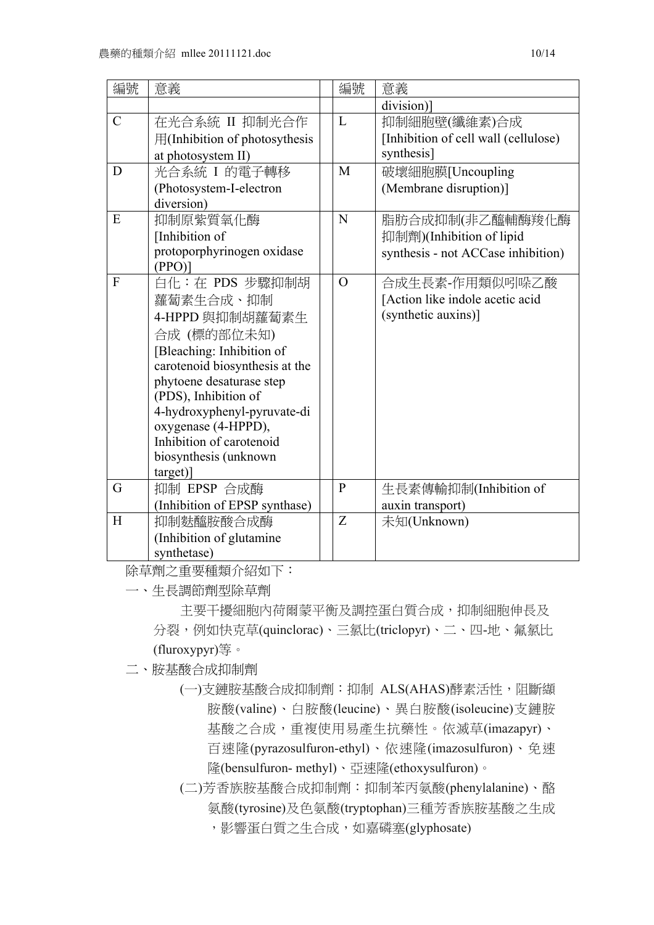| 編號            | 意義                                              | 編號           | 意義                                   |
|---------------|-------------------------------------------------|--------------|--------------------------------------|
|               |                                                 |              | division)]                           |
| $\mathcal{C}$ | 在光合系統 II 抑制光合作                                  | L            | 抑制細胞壁(纖維素)合成                         |
|               | 用(Inhibition of photosythesis                   |              | [Inhibition of cell wall (cellulose) |
|               | at photosystem II)                              |              | synthesis]                           |
| D             | 光合系統 I 的電子轉移                                    | M            | 破壞細胞膜[Uncoupling                     |
|               | (Photosystem-I-electron                         |              | (Membrane disruption)]               |
|               | diversion)                                      |              |                                      |
| E             | 抑制原紫質氧化酶                                        | N            | 脂肪合成抑制(非乙醯輔酶羧化酶                      |
|               | [Inhibition of                                  |              | 抑制劑)(Inhibition of lipid             |
|               | protoporphyrinogen oxidase                      |              | synthesis - not ACCase inhibition)   |
|               | $(PPO)$ ]                                       |              |                                      |
| $\mathbf{F}$  | 白化:在 PDS 步驟抑制胡                                  | $\Omega$     | 合成生長素-作用類似吲哚乙酸                       |
|               | 蘿蔔素生合成、抑制                                       |              | [Action like indole acetic acid      |
|               | 4-HPPD 與抑制胡蘿蔔素生                                 |              | (synthetic auxins)]                  |
|               | 合成 (標的部位未知)                                     |              |                                      |
|               | [Bleaching: Inhibition of                       |              |                                      |
|               | carotenoid biosynthesis at the                  |              |                                      |
|               | phytoene desaturase step                        |              |                                      |
|               | (PDS), Inhibition of                            |              |                                      |
|               | 4-hydroxyphenyl-pyruvate-di                     |              |                                      |
|               | oxygenase (4-HPPD),<br>Inhibition of carotenoid |              |                                      |
|               | biosynthesis (unknown                           |              |                                      |
|               | target)]                                        |              |                                      |
| G             | 抑制 EPSP 合成酶                                     | $\mathbf{P}$ | 生長素傳輸抑制(Inhibition of                |
|               | (Inhibition of EPSP synthase)                   |              | auxin transport)                     |
| H             | 抑制麩醯胺酸合成酶                                       | Z            | 未知(Unknown)                          |
|               | (Inhibition of glutamine                        |              |                                      |
|               | synthetase)                                     |              |                                      |
|               |                                                 |              |                                      |

除草劑之重要種類介紹如下:

一、生長調節劑型除草劑

主要干擾細胞內荷爾蒙平衡及調控蛋白質合成,抑制細胞伸長及 分裂,例如快克草(quinclorac)、三氯比(triclopyr)、二、四-地、氟氯比 (fluroxypyr)等。

二、胺基酸合成抑制劑

(一)支鏈胺基酸合成抑制劑:抑制 ALS(AHAS)酵素活性,阻斷纈 胺酸(valine)、白胺酸(leucine)、異白胺酸(isoleucine)支鏈胺 基酸之合成,重複使用易產生抗藥性。依滅草(imazapyr)、 百速隆(pyrazosulfuron-ethyl)、依速隆(imazosulfuron)、免速 隆(bensulfuron- methyl)、亞速隆(ethoxysulfuron)。

(二)芳香族胺基酸合成抑制劑:抑制苯丙氨酸(phenylalanine)、酪 氨酸(tyrosine)及色氨酸(tryptophan)三種芳香族胺基酸之生成

,影響蛋白質之生合成,如嘉磷塞(glyphosate)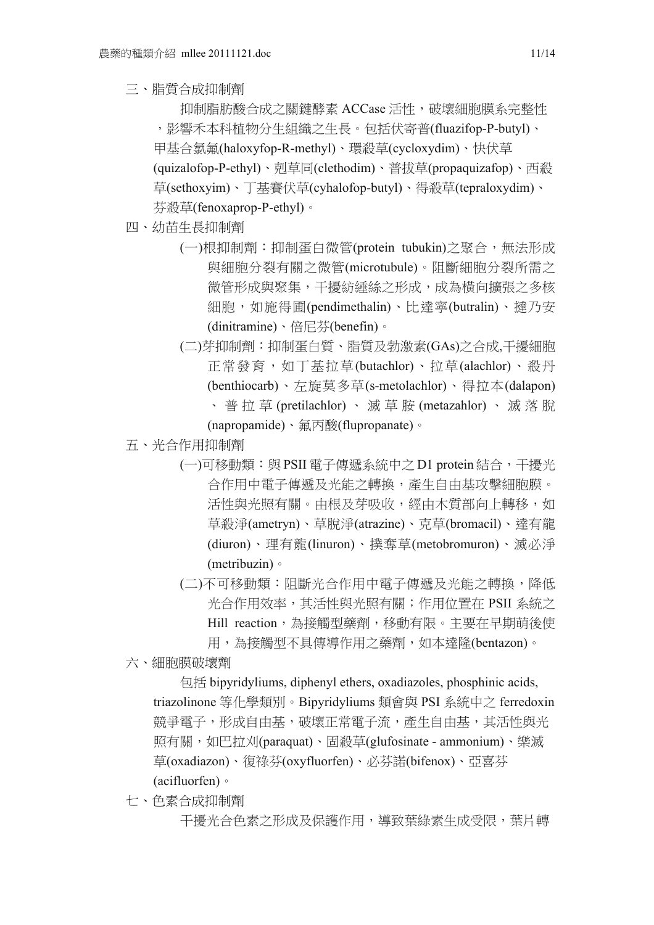三、脂質合成抑制劑

抑制脂肪酸合成之關鍵酵素 ACCase 活性,破壞細胞膜系完整性 ,影響禾本科植物分生組織之生長。包括伏寄普(fluazifop-P-butyl)、 甲基合氯氟(haloxyfop-R-methyl)、環殺草(cycloxydim)、快伏草 (quizalofop-P-ethyl)、剋草同(clethodim)、普拔草(propaquizafop)、西殺 草(sethoxyim)、丁基賽伏草(cyhalofop-butyl)、得殺草(tepraloxydim)、 芬殺草(fenoxaprop-P-ethyl)。

- 四、幼苗生長抑制劑
	- (一)根抑制劑:抑制蛋白微管(protein tubukin)之聚合,無法形成 與細胞分裂有關之微管(microtubule)。阻斷細胞分裂所需之 微管形成與聚集,干擾紡綞絲之形成,成為橫向擴張之多核 細胞,如施得圃(pendimethalin)、比達寧(butralin)、撻乃安 (dinitramine)、倍尼芬(benefin)。
	- (二)芽抑制劑:抑制蛋白質、脂質及勃激素(GAs)之合成,干擾細胞 正常發育,如丁基拉草(butachlor)、拉草(alachlor)、殺丹 (benthiocarb)、左旋莫多草(s-metolachlor)、得拉本(dalapon) 、普拉草 (pretilachlor) 、滅草胺 (metazahlor) 、滅落脫

(napropamide)、氟丙酸(flupropanate)。

- 五、光合作用抑制劑
	- (一)可移動類:與 PSII 雷子傳遞系統中之 D1 protein 結合,干擾光 合作用中電子傳遞及光能之轉換,產生自由基攻擊細胞膜。 活性與光照有關。由根及芽吸收,經由木質部向上轉移,如 草殺淨(ametryn)、草脫淨(atrazine)、克草(bromacil)、達有龍 (diuron)、理有龍(linuron)、撲奪草(metobromuron)、滅必淨 (metribuzin)。
	- (二)不可移動類:阻斷光合作用中電子傳遞及光能之轉換,降低 光合作用效率,其活性與光照有關;作用位置在 PSII 系統之 Hill reaction,為接觸型藥劑,移動有限。主要在早期萌後使
		- 用,為接觸型不具傳導作用之藥劑,如本達隆(bentazon)。
- 六、細胞膜破壞劑

包括 bipyridyliums, diphenyl ethers, oxadiazoles, phosphinic acids, triazolinone 等化學類別。Bipyridyliums 類會與 PSI 系統中之 ferredoxin 競爭電子,形成自由基,破壞正常電子流,產生自由基,其活性與光 照有關,如巴拉刈(paraquat)、固殺草(glufosinate - ammonium)、樂滅 草(oxadiazon)、復祿芬(oxyfluorfen)、必芬諾(bifenox)、亞喜芬 (acifluorfen)。

七、色素合成抑制劑

干擾光合色素之形成及保護作用,導致葉綠素生成受限,葉片轉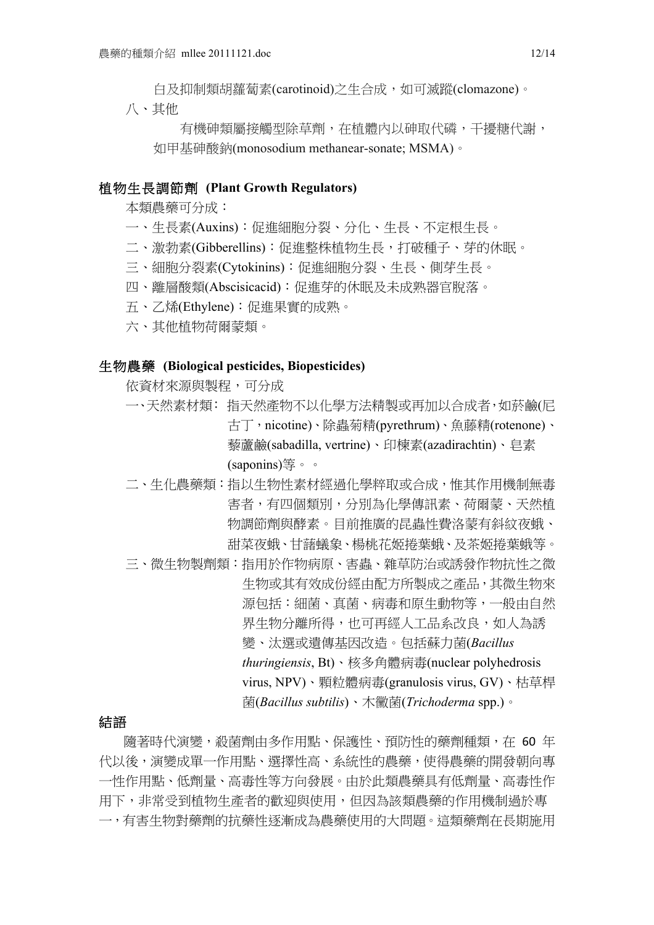白及抑制類胡蘿蔔素(carotinoid)之生合成,如可滅蹤(clomazone)。

八、其他

有機砷類屬接觸型除草劑,在植體內以砷取代磷,干擾糖代謝, 如甲基砷酸鈉(monosodium methanear-sonate; MSMA)。

#### 植物生長調節劑 **(Plant Growth Regulators)**

本類農藥可分成:

- 一、生長素(Auxins):促進細胞分裂、分化、生長、不定根生長。
- 二、激勃素(Gibberellins):促進整株植物生長,打破種子、芽的休眠。
- 三、細胞分裂素(Cytokinins):促進細胞分裂、生長、側芽生長。
- 四、離層酸類(Abscisicacid):促進芽的休眠及未成熟器官脫落。
- 五、乙烯(Ethylene):促進果實的成熟。
- 六、其他植物荷爾蒙類。

### 生物農藥 **(Biological pesticides, Biopesticides)**

依資材來源與製程,可分成

- 一、天然素材類: 指天然產物不以化學方法精製或再加以合成者,如菸鹼(尼 古丁,nicotine)、除蟲菊精(pyrethrum)、魚藤精(rotenone)、 藜蘆鹼(sabadilla, vertrine)、印楝素(azadirachtin)、皂素 (saponins)等。。
- 二、生化農藥類:指以生物性素材經過化學粹取或合成,惟其作用機制無毒 害者,有四個類別,分別為化學傳訊素、荷爾蒙、天然植 物調節劑與酵素。目前推廣的昆蟲性費洛蒙有斜紋夜蛾、 甜菜夜蛾、甘藷蟻象、楊桃花姬捲葉蛾、及茶姬捲葉蛾等。
- 三、微生物製劑類:指用於作物病原、害蟲、雜草防治或誘發作物抗性之微 生物或其有效成份經由配方所製成之產品,其微生物來 源包括:細菌、真菌、病毒和原生動物等,一般由自然 界生物分離所得,也可再經人工品系改良,如人為誘 變、汰選或遺傳基因改造。包括蘇力菌(*Bacillus thuringiensis*, Bt)、核多角體病毒(nuclear polyhedrosis virus, NPV)、顆粒體病毒(granulosis virus, GV)、枯草桿 菌(*Bacillus subtilis*)、木黴菌(*Trichoderma* spp.)。

# 結語

隨著時代演變,殺菌劑由多作用點、保護性、預防性的藥劑種類, 在 60 年 代以後,演變成單一作用點、選擇性高、系統性的農藥,使得農藥的開發朝向專 一性作用點、低劑量、高毒性等方向發展。由於此類農藥具有低劑量、高毒性作 用下,非常受到植物生產者的歡迎與使用,但因為該類農藥的作用機制過於專 一,有害生物對藥劑的抗藥性逐漸成為農藥使用的大問題。這類藥劑在長期施用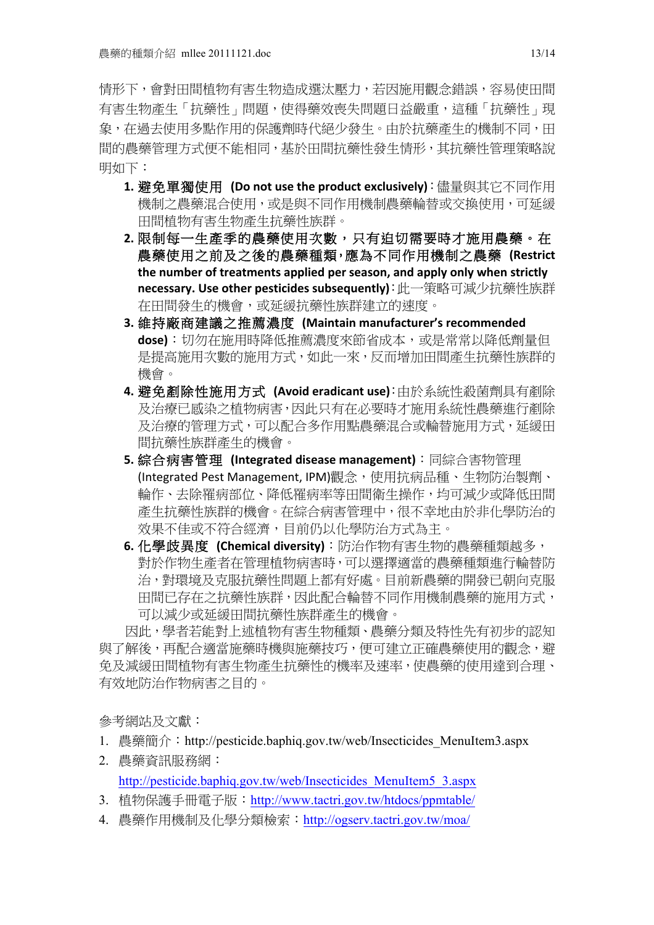情形下,會對田間植物有害生物造成選汰壓力,若因施用觀念錯誤,容易使田間 有害生物產生「抗藥性」問題,使得藥效喪失問題日益嚴重,這種「抗藥性」現 象,在過去使用多點作用的保護劑時代絕少發生。由於抗藥產生的機制不同,田 間的農藥管理方式便不能相同,基於田間抗藥性發生情形,其抗藥性管理策略說 明如下:

- 1. 避免單獨使用 (Do not use the product exclusively): 儘量與其它不同作用 機制之農藥混合使用,或是與不同作用機制農藥輪替或交換使用,可延緩 田間植物有害生物產生抗藥性族群。
- **2.** 限制每一生產季的農藥使用次數,只有迫切需要時才施用農藥。在 農藥使用之前及之後的農藥種類,應為不同作用機制之農藥 (Restrict the number of treatments applied per season, and apply only when strictly **necessary. Use#other#pesticides subsequently)**:此一策略可減少抗藥性族群 在田間發生的機會,或延緩抗藥性族群建立的速度。
- **3.** 維持廠商建議之推薦濃度 **(Maintain#manufacturer's#recommended# dose)**:切勿在施用時降低推薦濃度來節省成本,或是常常以降低劑量但 是提高施用次數的施用方式,如此一來,反而增加田間產生抗藥性族群的 機會。
- 4. 避免剷除性施用方式 (Avoid eradicant use):由於系統性殺菌劑具有剷除 及治療已感染之植物病害,因此只有在必要時才施用系統性農藥進行剷除 及治療的管理方式,可以配合多作用點農藥混合或輪替施用方式,延緩田 間抗藥性族群產生的機會。
- 5. 綜合病害管理 (Integrated disease management): 同綜合害物管理 (Integrated Pest Management, IPM)觀念,使用抗病品種、生物防治製劑、 輪作、去除罹病部位、降低罹病率等田間衛生操作,均可減少或降低田間 產生抗藥性族群的機會。在綜合病害管理中,很不幸地由於非化學防治的 效果不佳或不符合經濟,目前仍以化學防治方式為主。
- 6. 化學歧異度 (Chemical diversity): 防治作物有害生物的農藥種類越多, 對於作物生產者在管理植物病害時,可以選擇適當的農藥種類進行輪替防 治,對環境及克服抗藥性問題上都有好處。目前新農藥的開發已朝向克服 田間已存在之抗藥性族群,因此配合輪替不同作用機制農藥的施用方式, 可以減少或延緩田間抗藥性族群產生的機會。

因此,學者若能對上述植物有害生物種類、農藥分類及特性先有初步的認知 與了解後,再配合適當施藥時機與施藥技巧,便可建立正確農藥使用的觀念,避 免及減緩田間植物有害生物產生抗藥性的機率及速率,使農藥的使用達到合理、 有效地防治作物病害之目的。

參考網站及文獻:

- 1. 農藥簡介: http://pesticide.baphiq.gov.tw/web/Insecticides MenuItem3.aspx
- 2. 農藥資訊服務網: http://pesticide.baphiq.gov.tw/web/Insecticides\_MenuItem5\_3.aspx
- 3. 植物保護手冊電子版:http://www.tactri.gov.tw/htdocs/ppmtable/
- 4. 農藥作用機制及化學分類檢索:http://ogserv.tactri.gov.tw/moa/